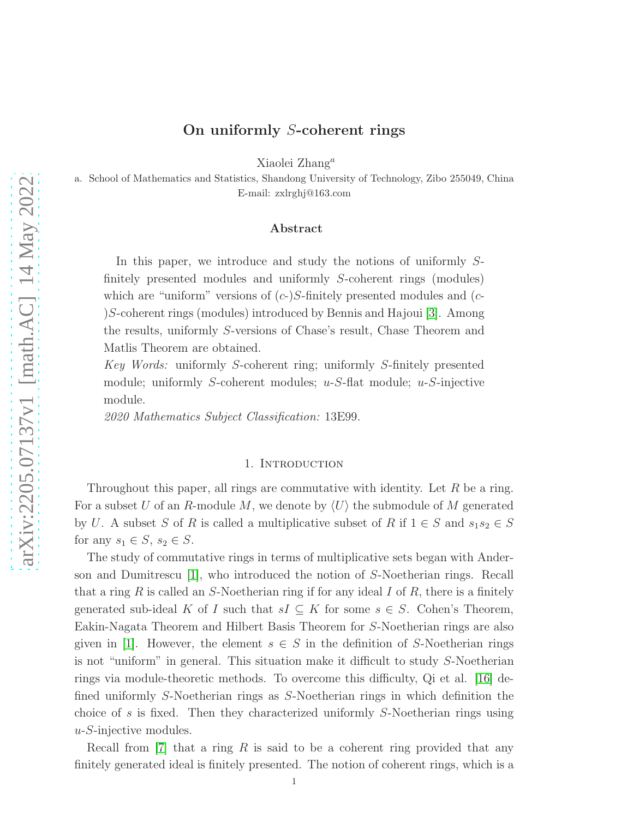## On uniformly S-coherent rings

Xiaolei Zhang<sup>a</sup>

a. School of Mathematics and Statistics, Shandong University of Technology, Zibo 255049, China E-mail: zxlrghj@163.com

#### Abstract

In this paper, we introduce and study the notions of uniformly Sfinitely presented modules and uniformly S-coherent rings (modules) which are "uniform" versions of  $(c-)$ S-finitely presented modules and  $(c-)$ )S-coherent rings (modules) introduced by Bennis and Hajoui [\[3\]](#page-20-0). Among the results, uniformly S-versions of Chase's result, Chase Theorem and Matlis Theorem are obtained.

*Key Words:* uniformly S-coherent ring; uniformly S-finitely presented module; uniformly S-coherent modules;  $u-S$ -flat module;  $u-S$ -injective module.

*2020 Mathematics Subject Classification:* 13E99.

#### 1. INTRODUCTION

Throughout this paper, all rings are commutative with identity. Let  $R$  be a ring. For a subset U of an R-module M, we denote by  $\langle U \rangle$  the submodule of M generated by U. A subset S of R is called a multiplicative subset of R if  $1 \in S$  and  $s_1 s_2 \in S$ for any  $s_1 \in S$ ,  $s_2 \in S$ .

The study of commutative rings in terms of multiplicative sets began with Anderson and Dumitrescu [\[1\]](#page-20-1), who introduced the notion of S-Noetherian rings. Recall that a ring R is called an S-Noetherian ring if for any ideal I of R, there is a finitely generated sub-ideal K of I such that  $sI \subseteq K$  for some  $s \in S$ . Cohen's Theorem, Eakin-Nagata Theorem and Hilbert Basis Theorem for S-Noetherian rings are also given in [\[1\]](#page-20-1). However, the element  $s \in S$  in the definition of S-Noetherian rings is not "uniform" in general. This situation make it difficult to study S-Noetherian rings via module-theoretic methods. To overcome this difficulty, Qi et al. [\[16\]](#page-20-2) defined uniformly S-Noetherian rings as S-Noetherian rings in which definition the choice of s is fixed. Then they characterized uniformly S-Noetherian rings using  $u-S$ -injective modules.

Recall from  $|7|$  that a ring R is said to be a coherent ring provided that any finitely generated ideal is finitely presented. The notion of coherent rings, which is a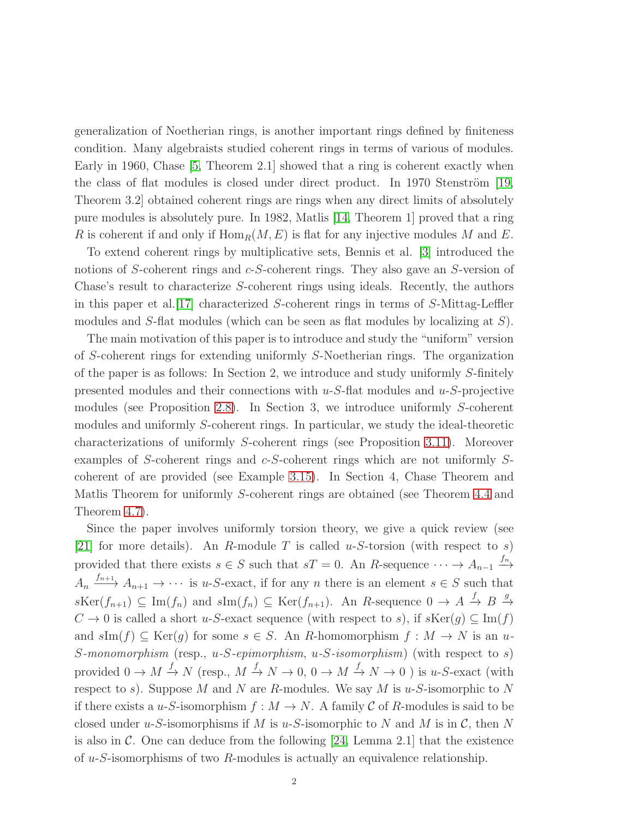generalization of Noetherian rings, is another important rings defined by finiteness condition. Many algebraists studied coherent rings in terms of various of modules. Early in 1960, Chase [\[5,](#page-20-4) Theorem 2.1] showed that a ring is coherent exactly when the class of flat modules is closed under direct product. In 1970 Stenström  $[19,$ Theorem 3.2] obtained coherent rings are rings when any direct limits of absolutely pure modules is absolutely pure. In 1982, Matlis [\[14,](#page-20-6) Theorem 1] proved that a ring R is coherent if and only if  $\text{Hom}_R(M, E)$  is flat for any injective modules M and E.

To extend coherent rings by multiplicative sets, Bennis et al. [\[3\]](#page-20-0) introduced the notions of S-coherent rings and c-S-coherent rings. They also gave an S-version of Chase's result to characterize S-coherent rings using ideals. Recently, the authors in this paper et al.[\[17\]](#page-20-7) characterized S-coherent rings in terms of S-Mittag-Leffler modules and S-flat modules (which can be seen as flat modules by localizing at  $S$ ).

The main motivation of this paper is to introduce and study the "uniform" version of S-coherent rings for extending uniformly S-Noetherian rings. The organization of the paper is as follows: In Section 2, we introduce and study uniformly S-finitely presented modules and their connections with  $u-S$ -flat modules and  $u-S$ -projective modules (see Proposition [2.8\)](#page-6-0). In Section 3, we introduce uniformly S-coherent modules and uniformly S-coherent rings. In particular, we study the ideal-theoretic characterizations of uniformly S-coherent rings (see Proposition [3.11\)](#page-9-0). Moreover examples of S-coherent rings and c-S-coherent rings which are not uniformly Scoherent of are provided (see Example [3.15\)](#page-11-0). In Section 4, Chase Theorem and Matlis Theorem for uniformly S-coherent rings are obtained (see Theorem [4.4](#page-15-0) and Theorem [4.7\)](#page-18-0).

Since the paper involves uniformly torsion theory, we give a quick review (see [\[21\]](#page-20-8) for more details). An R-module T is called u-S-torsion (with respect to s) provided that there exists  $s \in S$  such that  $sT = 0$ . An R-sequence  $\cdots \rightarrow A_{n-1} \stackrel{f_n}{\longrightarrow}$  $A_n \xrightarrow{f_{n+1}} A_{n+1} \longrightarrow \cdots$  is u-S-exact, if for any n there is an element  $s \in S$  such that  $s\text{Ker}(f_{n+1}) \subseteq \text{Im}(f_n)$  and  $s\text{Im}(f_n) \subseteq \text{Ker}(f_{n+1})$ . An R-sequence  $0 \to A \stackrel{f}{\to} B \stackrel{g}{\to}$  $C \to 0$  is called a short u-S-exact sequence (with respect to s), if  $s\text{Ker}(g) \subseteq \text{Im}(f)$ and  $sIm(f) \subseteq Ker(g)$  for some  $s \in S$ . An R-homomorphism  $f : M \to N$  is an u-S*-monomorphism* (resp., u*-*S*-epimorphism*, u*-*S*-isomorphism*) (with respect to s) provided  $0 \to M \xrightarrow{f} N$  (resp.,  $M \xrightarrow{f} N \to 0$ ,  $0 \to M \xrightarrow{f} N \to 0$ ) is u-S-exact (with respect to s). Suppose M and N are R-modules. We say M is  $u$ -S-isomorphic to N if there exists a u-S-isomorphism  $f : M \to N$ . A family C of R-modules is said to be closed under u-S-isomorphisms if M is u-S-isomorphic to N and M is in  $\mathcal{C}$ , then N is also in  $\mathcal C$ . One can deduce from the following [\[24,](#page-20-9) Lemma 2.1] that the existence of  $u-S$ -isomorphisms of two R-modules is actually an equivalence relationship.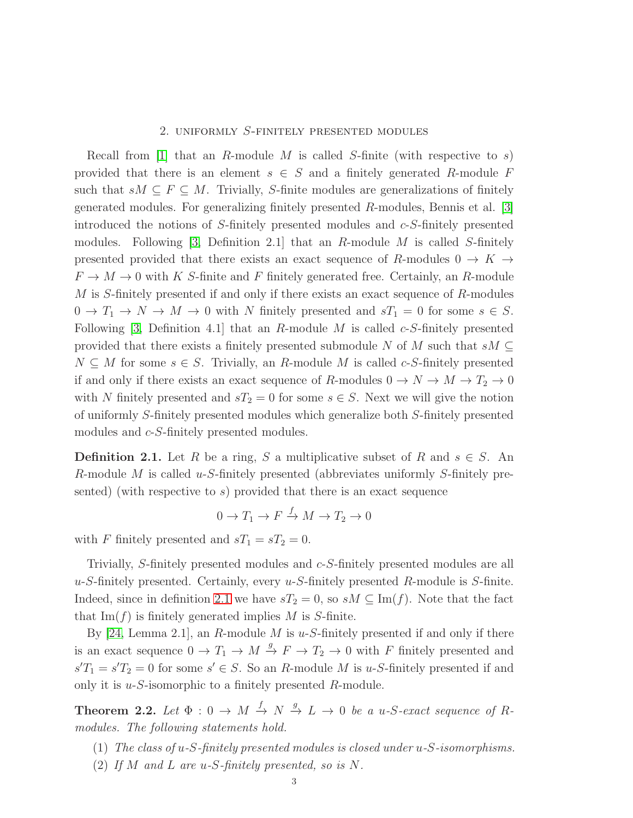## 2. uniformly S-finitely presented modules

Recall from [\[1\]](#page-20-1) that an R-module M is called S-finite (with respective to s) provided that there is an element  $s \in S$  and a finitely generated R-module F such that  $sM \subseteq F \subseteq M$ . Trivially, S-finite modules are generalizations of finitely generated modules. For generalizing finitely presented R-modules, Bennis et al. [\[3\]](#page-20-0) introduced the notions of S-finitely presented modules and c-S-finitely presented modules. Following  $[3,$  Definition 2.1 that an R-module M is called S-finitely presented provided that there exists an exact sequence of R-modules  $0 \to K \to$  $F \to M \to 0$  with K S-finite and F finitely generated free. Certainly, an R-module M is S-finitely presented if and only if there exists an exact sequence of R-modules  $0 \to T_1 \to N \to M \to 0$  with N finitely presented and  $sT_1 = 0$  for some  $s \in S$ . Following [\[3,](#page-20-0) Definition 4.1] that an R-module M is called  $c$ -S-finitely presented provided that there exists a finitely presented submodule N of M such that  $sM \subseteq$  $N \subseteq M$  for some  $s \in S$ . Trivially, an R-module M is called c-S-finitely presented if and only if there exists an exact sequence of R-modules  $0 \to N \to M \to T_2 \to 0$ with N finitely presented and  $sT_2 = 0$  for some  $s \in S$ . Next we will give the notion of uniformly S-finitely presented modules which generalize both S-finitely presented modules and  $c$ -S-finitely presented modules.

<span id="page-2-0"></span>**Definition 2.1.** Let R be a ring, S a multiplicative subset of R and  $s \in S$ . An R-module M is called u-S-finitely presented (abbreviates uniformly S-finitely presented) (with respective to s) provided that there is an exact sequence

$$
0 \to T_1 \to F \xrightarrow{f} M \to T_2 \to 0
$$

with F finitely presented and  $sT_1 = sT_2 = 0$ .

Trivially, S-finitely presented modules and c-S-finitely presented modules are all  $u-S$ -finitely presented. Certainly, every  $u-S$ -finitely presented R-module is S-finite. Indeed, since in definition [2.1](#page-2-0) we have  $sT_2 = 0$ , so  $sM \subseteq \text{Im}(f)$ . Note that the fact that  $\text{Im}(f)$  is finitely generated implies M is S-finite.

By [\[24,](#page-20-9) Lemma 2.1], an R-module M is  $u$ -S-finitely presented if and only if there is an exact sequence  $0 \to T_1 \to M \stackrel{g}{\to} F \to T_2 \to 0$  with F finitely presented and  $s'T_1 = s'T_2 = 0$  for some  $s' \in S$ . So an R-module M is u-S-finitely presented if and only it is u-S-isomorphic to a finitely presented R-module.

<span id="page-2-1"></span>**Theorem 2.2.** Let  $\Phi: 0 \to M \stackrel{f}{\to} N \stackrel{g}{\to} L \to 0$  be a u-S-exact sequence of R*modules. The following statements hold.*

- (1) *The class of* u*-*S*-finitely presented modules is closed under* u*-*S*-isomorphisms.*
- (2) *If* M *and* L *are* u*-*S*-finitely presented, so is* N*.*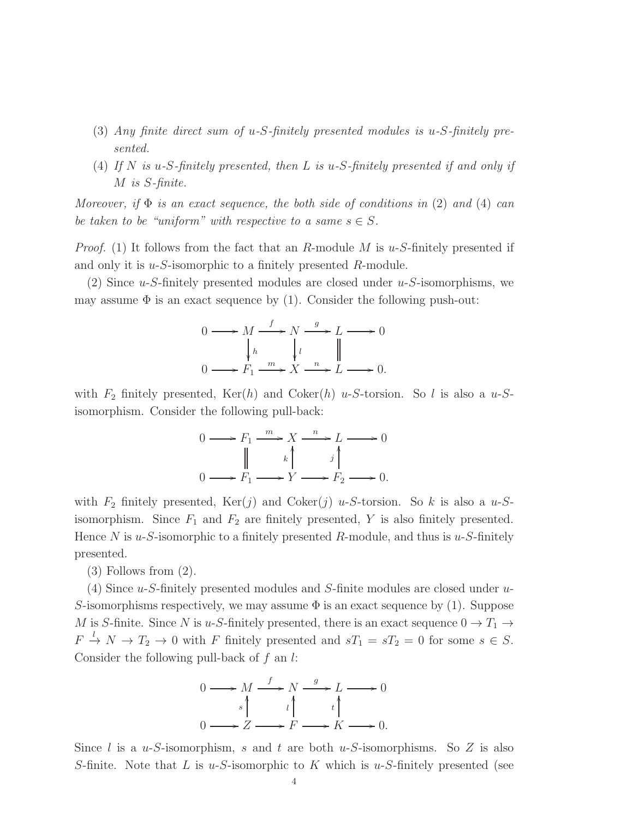- (3) *Any finite direct sum of* u*-*S*-finitely presented modules is* u*-*S*-finitely presented.*
- (4) *If* N *is* u*-*S*-finitely presented, then* L *is* u*-*S*-finitely presented if and only if* M *is* S*-finite.*

*Moreover, if* Φ *is an exact sequence, the both side of conditions in* (2) *and* (4) *can be taken to be "uniform" with respective to a same*  $s \in S$ .

*Proof.* (1) It follows from the fact that an R-module M is  $u$ -S-finitely presented if and only it is u-S-isomorphic to a finitely presented R-module.

(2) Since  $u$ -S-finitely presented modules are closed under  $u$ -S-isomorphisms, we may assume  $\Phi$  is an exact sequence by (1). Consider the following push-out:

$$
0 \longrightarrow M \xrightarrow{f} N \xrightarrow{g} L \longrightarrow 0
$$
  
\n
$$
\downarrow h \qquad \qquad \downarrow l \qquad \qquad \parallel
$$
  
\n
$$
0 \longrightarrow F_1 \xrightarrow{m} X \xrightarrow{n} L \longrightarrow 0.
$$

with  $F_2$  finitely presented,  $\text{Ker}(h)$  and  $\text{Coker}(h)$  u-S-torsion. So l is also a u-Sisomorphism. Consider the following pull-back:

$$
0 \longrightarrow F_1 \xrightarrow{m} X \xrightarrow{n} L \longrightarrow 0
$$
  
\n
$$
\parallel \qquad k \qquad j \qquad j
$$
  
\n
$$
0 \longrightarrow F_1 \longrightarrow Y \longrightarrow F_2 \longrightarrow 0.
$$

with  $F_2$  finitely presented,  $\text{Ker}(j)$  and  $\text{Coker}(j)$  u-S-torsion. So k is also a u-Sisomorphism. Since  $F_1$  and  $F_2$  are finitely presented, Y is also finitely presented. Hence N is u-S-isomorphic to a finitely presented R-module, and thus is u-S-finitely presented.

(3) Follows from (2).

(4) Since u-S-finitely presented modules and S-finite modules are closed under u-S-isomorphisms respectively, we may assume  $\Phi$  is an exact sequence by (1). Suppose M is S-finite. Since N is u-S-finitely presented, there is an exact sequence  $0 \to T_1 \to$  $F \stackrel{l}{\rightarrow} N \rightarrow T_2 \rightarrow 0$  with F finitely presented and  $sT_1 = sT_2 = 0$  for some  $s \in S$ . Consider the following pull-back of  $f$  an  $l$ :

$$
0 \longrightarrow M \xrightarrow{f} N \xrightarrow{g} L \longrightarrow 0
$$
  
\n
$$
s \uparrow \qquad \qquad \downarrow \qquad t \uparrow
$$
  
\n
$$
0 \longrightarrow Z \longrightarrow F \longrightarrow K \longrightarrow 0.
$$

Since l is a u-S-isomorphism, s and t are both u-S-isomorphisms. So Z is also S-finite. Note that L is u-S-isomorphic to K which is u-S-finitely presented (see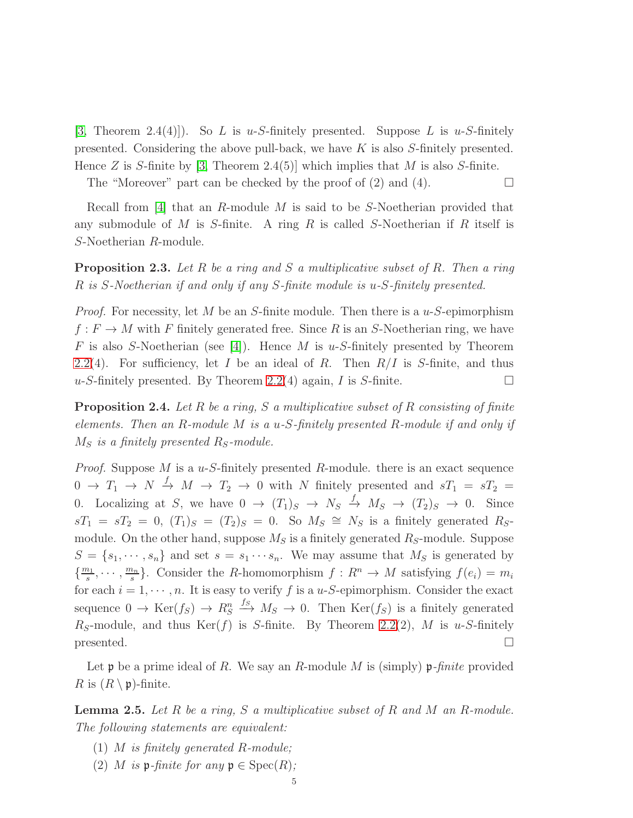[\[3,](#page-20-0) Theorem 2.4(4)]). So L is u-S-finitely presented. Suppose L is u-S-finitely presented. Considering the above pull-back, we have K is also S-finitely presented. Hence Z is S-finite by [\[3,](#page-20-0) Theorem 2.4(5)] which implies that M is also S-finite.

The "Moreover" part can be checked by the proof of  $(2)$  and  $(4)$ .

Recall from [\[4\]](#page-20-10) that an R-module M is said to be S-Noetherian provided that any submodule of M is S-finite. A ring R is called S-Noetherian if R itself is S-Noetherian R-module.

Proposition 2.3. *Let* R *be a ring and* S *a multiplicative subset of* R*. Then a ring* R *is* S*-Noetherian if and only if any* S*-finite module is* u*-*S*-finitely presented.*

*Proof.* For necessity, let  $M$  be an  $S$ -finite module. Then there is a  $u$ - $S$ -epimorphism  $f: F \to M$  with F finitely generated free. Since R is an S-Noetherian ring, we have F is also S-Noetherian (see [\[4\]](#page-20-10)). Hence M is u-S-finitely presented by Theorem [2.2\(](#page-2-1)4). For sufficiency, let I be an ideal of R. Then  $R/I$  is S-finite, and thus  $u$ -S-finitely presented. By Theorem [2.2\(](#page-2-1)4) again, I is S-finite.

Proposition 2.4. *Let* R *be a ring,* S *a multiplicative subset of* R *consisting of finite elements. Then an* R*-module* M *is a* u*-*S*-finitely presented* R*-module if and only if*  $M<sub>S</sub>$  *is a finitely presented*  $R<sub>S</sub>$ -module.

*Proof.* Suppose M is a u-S-finitely presented R-module. there is an exact sequence  $0 \to T_1 \to N \stackrel{f}{\to} M \to T_2 \to 0$  with N finitely presented and  $sT_1 = sT_2 =$ 0. Localizing at S, we have  $0 \rightarrow (T_1)_S \rightarrow N_S \stackrel{f}{\rightarrow} M_S \rightarrow (T_2)_S \rightarrow 0$ . Since  $sT_1 = sT_2 = 0$ ,  $(T_1)_S = (T_2)_S = 0$ . So  $M_S \cong N_S$  is a finitely generated  $R_S$ module. On the other hand, suppose  $M<sub>S</sub>$  is a finitely generated  $R<sub>S</sub>$ -module. Suppose  $S = \{s_1, \dots, s_n\}$  and set  $s = s_1 \dots s_n$ . We may assume that  $M_S$  is generated by  $\left\{\frac{m_1}{s}\right\}$  $\frac{n_1}{s}, \cdots, \frac{m_n}{s}$  $\frac{a_n}{s}$ . Consider the *R*-homomorphism  $f: R^n \to M$  satisfying  $f(e_i) = m_i$ for each  $i = 1, \dots, n$ . It is easy to verify f is a u-S-epimorphism. Consider the exact sequence  $0 \to \text{Ker}(f_S) \to R_S^n \xrightarrow{f_S} M_S \to 0$ . Then  $\text{Ker}(f_S)$  is a finitely generated  $R<sub>S</sub>$ -module, and thus Ker(f) is S-finite. By Theorem [2.2\(](#page-2-1)2), M is u-S-finitely  $p$ resented.

Let p be a prime ideal of R. We say an R-module M is (simply) p*-finite* provided R is  $(R \setminus \mathfrak{p})$ -finite.

<span id="page-4-0"></span>Lemma 2.5. *Let* R *be a ring,* S *a multiplicative subset of* R *and* M *an* R*-module. The following statements are equivalent:*

- (1) M *is finitely generated* R*-module;*
- (2) M *is*  $\mathfrak{p}\text{-}finite$  *for any*  $\mathfrak{p} \in \text{Spec}(R)$ *;*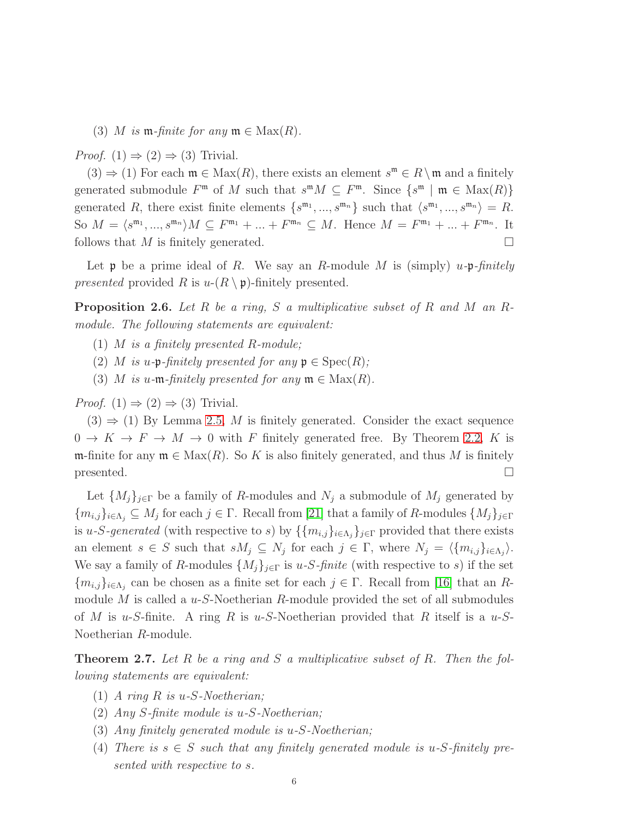(3) M *is*  $m$ -finite for any  $m \in Max(R)$ .

*Proof.*  $(1) \Rightarrow (2) \Rightarrow (3)$  Trivial.

 $(3) \Rightarrow (1)$  For each  $\mathfrak{m} \in \text{Max}(R)$ , there exists an element  $s^{\mathfrak{m}} \in R \setminus \mathfrak{m}$  and a finitely generated submodule  $F^{\mathfrak{m}}$  of M such that  $s^{\mathfrak{m}}M \subseteq F^{\mathfrak{m}}$ . Since  $\{s^{\mathfrak{m}} \mid \mathfrak{m} \in \text{Max}(R)\}\$ generated R, there exist finite elements  $\{s^{\mathfrak{m}_1},...,s^{\mathfrak{m}_n}\}\$  such that  $\langle s^{\mathfrak{m}_1},...,s^{\mathfrak{m}_n}\rangle = R$ . So  $M = \langle s^{m_1}, ..., s^{m_n} \rangle M \subseteq F^{m_1} + ... + F^{m_n} \subseteq M$ . Hence  $M = F^{m_1} + ... + F^{m_n}$ . It follows that M is finitely generated.

Let p be a prime ideal of R. We say an R-module M is (simply) u*-*p*-finitely presented* provided R is  $u-(R \setminus \mathfrak{p})$ -finitely presented.

<span id="page-5-0"></span>Proposition 2.6. *Let* R *be a ring,* S *a multiplicative subset of* R *and* M *an* R*module. The following statements are equivalent:*

- (1) M *is a finitely presented* R*-module;*
- (2) M is u-p-finitely presented for any  $p \in Spec(R)$ ;
- (3) M *is* u-m-finitely presented for any  $m \in Max(R)$ .

*Proof.*  $(1) \Rightarrow (2) \Rightarrow (3)$  Trivial.

 $(3) \Rightarrow (1)$  By Lemma [2.5,](#page-4-0) M is finitely generated. Consider the exact sequence  $0 \to K \to F \to M \to 0$  with F finitely generated free. By Theorem [2.2,](#page-2-1) K is m-finite for any  $\mathfrak{m} \in \text{Max}(R)$ . So K is also finitely generated, and thus M is finitely  $p$ resented.

Let  $\{M_j\}_{j\in\Gamma}$  be a family of R-modules and  $N_j$  a submodule of  $M_j$  generated by  ${m_{i,j}}_{i\in\Lambda_j}\subseteq M_j$  for each  $j\in\Gamma$ . Recall from [\[21\]](#page-20-8) that a family of R-modules  ${M_j}_{j\in\Gamma}$ is u-S-generated (with respective to s) by  $\{\{m_{i,j}\}_{i\in\Lambda_j}\}_{j\in\Gamma}$  provided that there exists an element  $s \in S$  such that  $sM_j \subseteq N_j$  for each  $j \in \Gamma$ , where  $N_j = \langle \{m_{i,j}\}_{i \in \Lambda_j}\rangle$ . We say a family of R-modules  $\{M_j\}_{j\in\Gamma}$  is u-S-finite (with respective to s) if the set  ${m_{i,j}}_{i\in\Lambda_j}$  can be chosen as a finite set for each  $j\in\Gamma$ . Recall from [\[16\]](#page-20-2) that an Rmodule  $M$  is called a  $u$ -S-Noetherian  $R$ -module provided the set of all submodules of M is u-S-finite. A ring R is u-S-Noetherian provided that R itself is a u-S-Noetherian R-module.

<span id="page-5-1"></span>Theorem 2.7. *Let* R *be a ring and* S *a multiplicative subset of* R*. Then the following statements are equivalent:*

- (1) *A ring* R *is* u*-*S*-Noetherian;*
- (2) *Any* S*-finite module is* u*-*S*-Noetherian;*
- (3) *Any finitely generated module is* u*-*S*-Noetherian;*
- (4) *There is*  $s \in S$  *such that any finitely generated module is u-S-finitely presented with respective to* s*.*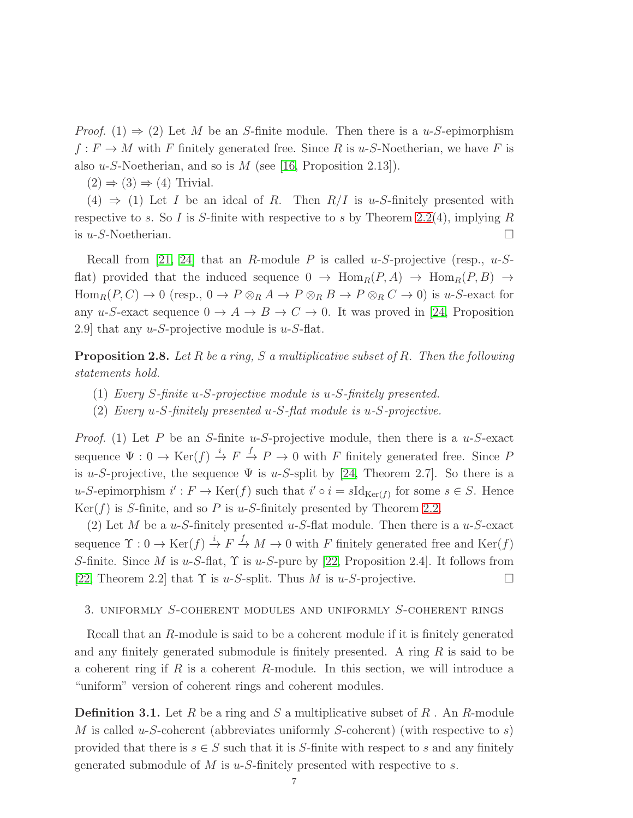*Proof.* (1)  $\Rightarrow$  (2) Let M be an S-finite module. Then there is a u-S-epimorphism  $f: F \to M$  with F finitely generated free. Since R is u-S-Noetherian, we have F is also u-S-Noetherian, and so is  $M$  (see [\[16,](#page-20-2) Proposition 2.13]).

 $(2) \Rightarrow (3) \Rightarrow (4)$  Trivial.

(4)  $\Rightarrow$  (1) Let I be an ideal of R. Then R/I is u-S-finitely presented with respective to s. So I is S-finite with respective to s by Theorem [2.2\(](#page-2-1)4), implying R is  $u$ -S-Noetherian.

Recall from [\[21,](#page-20-8) [24\]](#page-20-9) that an R-module P is called u-S-projective (resp.,  $u$ -Sflat) provided that the induced sequence  $0 \to \text{Hom}_R(P, A) \to \text{Hom}_R(P, B) \to$  $\text{Hom}_R(P, C) \to 0 \text{ (resp., } 0 \to P \otimes_R A \to P \otimes_R B \to P \otimes_R C \to 0 \text{) is } u$ -S-exact for any u-S-exact sequence  $0 \to A \to B \to C \to 0$ . It was proved in [\[24,](#page-20-9) Proposition 2.9] that any  $u$ -S-projective module is  $u$ -S-flat.

<span id="page-6-0"></span>Proposition 2.8. *Let* R *be a ring,* S *a multiplicative subset of* R*. Then the following statements hold.*

- (1) *Every* S*-finite* u*-*S*-projective module is* u*-*S*-finitely presented.*
- (2) *Every* u*-*S*-finitely presented* u*-*S*-flat module is* u*-*S*-projective.*

*Proof.* (1) Let P be an S-finite u-S-projective module, then there is a  $u$ -S-exact sequence  $\Psi: 0 \to \text{Ker}(f) \stackrel{i}{\to} F \stackrel{f}{\to} P \to 0$  with F finitely generated free. Since F is u-S-projective, the sequence  $\Psi$  is u-S-split by [\[24,](#page-20-9) Theorem 2.7]. So there is a u-S-epimorphism  $i' : F \to \text{Ker}(f)$  such that  $i' \circ i = s \text{Id}_{\text{Ker}(f)}$  for some  $s \in S$ . Hence  $Ker(f)$  is S-finite, and so P is u-S-finitely presented by Theorem [2.2.](#page-2-1)

(2) Let M be a u-S-finitely presented u-S-flat module. Then there is a u-S-exact sequence  $\Upsilon: 0 \to \text{Ker}(f) \stackrel{i}{\to} F \stackrel{f}{\to} M \to 0$  with F finitely generated free and  $\text{Ker}(f)$ S-finite. Since M is u-S-flat,  $\Upsilon$  is u-S-pure by [\[22,](#page-20-11) Proposition 2.4]. It follows from [\[22,](#page-20-11) Theorem 2.2] that  $\Upsilon$  is u-S-split. Thus M is u-S-projective.  $\square$ 

## 3. uniformly S-coherent modules and uniformly S-coherent rings

Recall that an R-module is said to be a coherent module if it is finitely generated and any finitely generated submodule is finitely presented. A ring  $R$  is said to be a coherent ring if  $R$  is a coherent  $R$ -module. In this section, we will introduce a "uniform" version of coherent rings and coherent modules.

**Definition 3.1.** Let R be a ring and S a multiplicative subset of R. An R-module M is called u-S-coherent (abbreviates uniformly S-coherent) (with respective to s) provided that there is  $s \in S$  such that it is S-finite with respect to s and any finitely generated submodule of  $M$  is  $u$ -S-finitely presented with respective to  $s$ .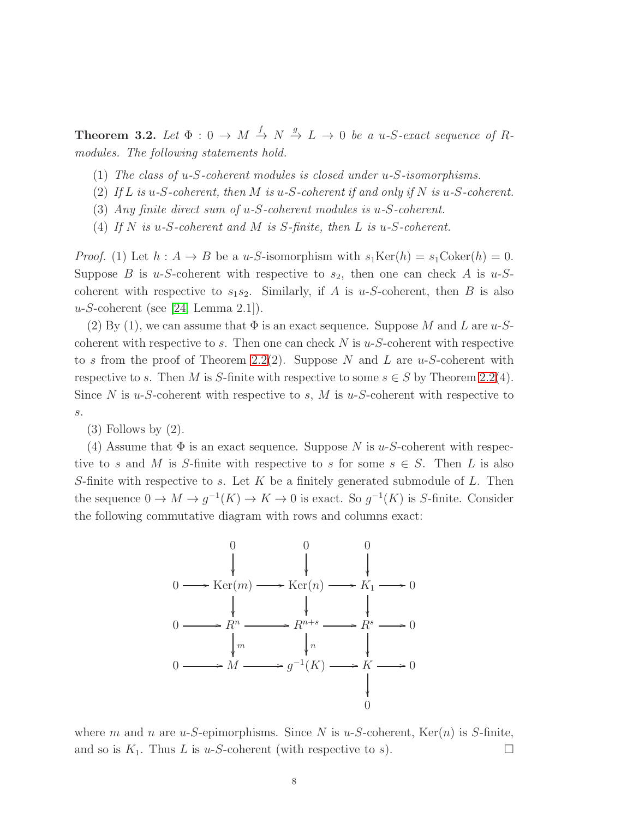<span id="page-7-0"></span>**Theorem 3.2.** Let  $\Phi: 0 \to M \stackrel{f}{\to} N \stackrel{g}{\to} L \to 0$  be a u-S-exact sequence of R*modules. The following statements hold.*

- (1) *The class of* u*-*S*-coherent modules is closed under* u*-*S*-isomorphisms.*
- (2) *If* L *is* u*-*S*-coherent, then* M *is* u*-*S*-coherent if and only if* N *is* u*-*S*-coherent.*
- (3) *Any finite direct sum of* u*-*S*-coherent modules is* u*-*S*-coherent.*
- (4) *If* N *is* u*-*S*-coherent and* M *is* S*-finite, then* L *is* u*-*S*-coherent.*

*Proof.* (1) Let  $h : A \to B$  be a u-S-isomorphism with  $s_1 \text{Ker}(h) = s_1 \text{Coker}(h) = 0$ . Suppose B is u-S-coherent with respective to  $s_2$ , then one can check A is u-Scoherent with respective to  $s_1s_2$ . Similarly, if A is u-S-coherent, then B is also  $u-S$ -coherent (see [\[24,](#page-20-9) Lemma 2.1]).

(2) By (1), we can assume that  $\Phi$  is an exact sequence. Suppose M and L are u-Scoherent with respective to s. Then one can check  $N$  is  $u$ -S-coherent with respective to s from the proof of Theorem [2.2\(](#page-2-1)2). Suppose N and L are  $u$ -S-coherent with respective to s. Then M is S-finite with respective to some  $s \in S$  by Theorem [2.2\(](#page-2-1)4). Since N is u-S-coherent with respective to s, M is u-S-coherent with respective to s.

(3) Follows by (2).

(4) Assume that  $\Phi$  is an exact sequence. Suppose N is u-S-coherent with respective to s and M is S-finite with respective to s for some  $s \in S$ . Then L is also S-finite with respective to s. Let  $K$  be a finitely generated submodule of  $L$ . Then the sequence  $0 \to M \to g^{-1}(K) \to K \to 0$  is exact. So  $g^{-1}(K)$  is S-finite. Consider the following commutative diagram with rows and columns exact:



where m and n are u-S-epimorphisms. Since N is u-S-coherent,  $\text{Ker}(n)$  is S-finite, and so is  $K_1$ . Thus L is u-S-coherent (with respective to s).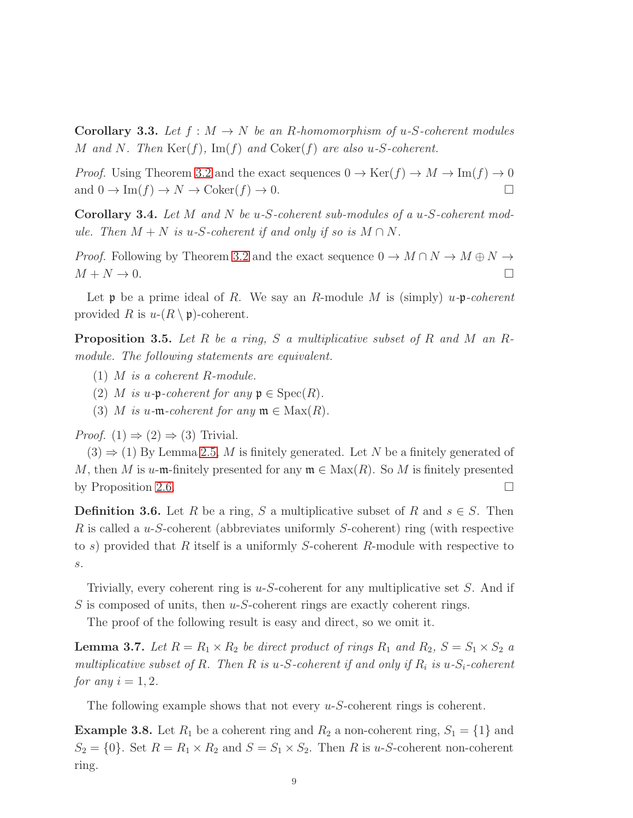**Corollary 3.3.** Let  $f : M \to N$  be an R-homomorphism of u-S-coherent modules M *and* N*. Then* Ker(f)*,* Im(f) *and* Coker(f) *are also* u*-*S*-coherent.*

*Proof.* Using Theorem [3.2](#page-7-0) and the exact sequences  $0 \to \text{Ker}(f) \to M \to \text{Im}(f) \to 0$ and  $0 \to \text{Im}(f) \to N \to \text{Coker}(f) \to 0.$ 

<span id="page-8-1"></span>Corollary 3.4. *Let* M *and* N *be* u*-*S*-coherent sub-modules of a* u*-*S*-coherent module.* Then  $M + N$  *is u-S-coherent if and only if so is*  $M \cap N$ *.* 

*Proof.* Following by Theorem [3.2](#page-7-0) and the exact sequence  $0 \to M \cap N \to M \oplus N \to$  $M + N \rightarrow 0.$ 

Let  $\mathfrak p$  be a prime ideal of R. We say an R-module M is (simply) u- $\mathfrak p$ -coherent provided R is  $u-(R \setminus \mathfrak{p})$ -coherent.

<span id="page-8-0"></span>Proposition 3.5. *Let* R *be a ring,* S *a multiplicative subset of* R *and* M *an* R*module. The following statements are equivalent.*

- (1) M *is a coherent* R*-module.*
- (2) M is u-p-coherent for any  $p \in Spec(R)$ .
- (3) M *is* u-m-coherent for any  $m \in Max(R)$ .

*Proof.*  $(1) \Rightarrow (2) \Rightarrow (3)$  Trivial.

 $(3) \Rightarrow (1)$  By Lemma [2.5,](#page-4-0) M is finitely generated. Let N be a finitely generated of M, then M is u-m-finitely presented for any  $\mathfrak{m} \in \text{Max}(R)$ . So M is finitely presented by Proposition [2.6.](#page-5-0)  $\Box$ 

**Definition 3.6.** Let R be a ring, S a multiplicative subset of R and  $s \in S$ . Then R is called a u-S-coherent (abbreviates uniformly S-coherent) ring (with respective to s) provided that R itself is a uniformly S-coherent R-module with respective to s.

Trivially, every coherent ring is  $u-S$ -coherent for any multiplicative set S. And if S is composed of units, then  $u$ -S-coherent rings are exactly coherent rings.

The proof of the following result is easy and direct, so we omit it.

**Lemma 3.7.** Let  $R = R_1 \times R_2$  be direct product of rings  $R_1$  and  $R_2$ ,  $S = S_1 \times S_2$  a *multiplicative subset of*  $R$ . Then  $R$  *is*  $u$ - $S$ -coherent if and only if  $R_i$  is  $u$ - $S_i$ -coherent *for any*  $i = 1, 2$ *.* 

The following example shows that not every  $u-S$ -coherent rings is coherent.

**Example 3.8.** Let  $R_1$  be a coherent ring and  $R_2$  a non-coherent ring,  $S_1 = \{1\}$  and  $S_2 = \{0\}$ . Set  $R = R_1 \times R_2$  and  $S = S_1 \times S_2$ . Then R is u-S-coherent non-coherent ring.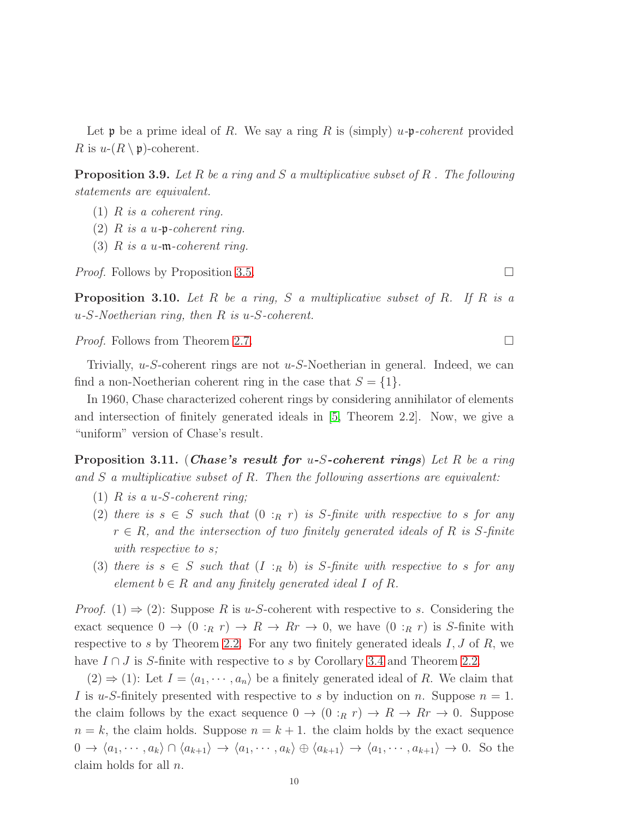Let  $\mathfrak p$  be a prime ideal of R. We say a ring R is (simply) u- $\mathfrak p$ -coherent provided R is  $u-(R \setminus \mathfrak{p})$ -coherent.

Proposition 3.9. *Let* R *be a ring and* S *a multiplicative subset of* R *. The following statements are equivalent.*

- (1) R *is a coherent ring.*
- (2) R *is a* u*-*p*-coherent ring.*
- (3) R *is a* u*-*m*-coherent ring.*

*Proof.* Follows by Proposition [3.5.](#page-8-0) □

Proposition 3.10. *Let* R *be a ring,* S *a multiplicative subset of* R*. If* R *is a* u*-*S*-Noetherian ring, then* R *is* u*-*S*-coherent.*

*Proof.* Follows from Theorem [2.7.](#page-5-1) □

Trivially,  $u-S$ -coherent rings are not  $u-S$ -Noetherian in general. Indeed, we can find a non-Noetherian coherent ring in the case that  $S = \{1\}.$ 

In 1960, Chase characterized coherent rings by considering annihilator of elements and intersection of finitely generated ideals in  $|5$ , Theorem 2.2. Now, we give a "uniform" version of Chase's result.

<span id="page-9-0"></span>Proposition 3.11. (Chase's result for u-S-coherent rings) *Let* R *be a ring and* S *a multiplicative subset of* R*. Then the following assertions are equivalent:*

- (1) R *is a* u*-*S*-coherent ring;*
- (2) there is  $s \in S$  *such that*  $(0 :_R r)$  *is* S-finite with respective to s for any r ∈ R*, and the intersection of two finitely generated ideals of* R *is* S*-finite with respective to* s*;*
- (3) *there is*  $s \in S$  *such that*  $(I :_R b)$  *is* S-finite with respective to s for any *element*  $b \in R$  *and any finitely generated ideal* I *of* R.

*Proof.* (1)  $\Rightarrow$  (2): Suppose R is u-S-coherent with respective to s. Considering the exact sequence  $0 \to (0 :_R r) \to R \to R r \to 0$ , we have  $(0 :_R r)$  is S-finite with respective to s by Theorem [2.2.](#page-2-1) For any two finitely generated ideals  $I, J$  of  $R$ , we have  $I \cap J$  is S-finite with respective to s by Corollary [3.4](#page-8-1) and Theorem [2.2.](#page-2-1)

 $(2) \Rightarrow (1)$ : Let  $I = \langle a_1, \dots, a_n \rangle$  be a finitely generated ideal of R. We claim that I is u-S-finitely presented with respective to s by induction on n. Suppose  $n = 1$ . the claim follows by the exact sequence  $0 \to (0 :_R r) \to R \to R r \to 0$ . Suppose  $n = k$ , the claim holds. Suppose  $n = k + 1$ . the claim holds by the exact sequence  $0 \to \langle a_1, \cdots, a_k \rangle \cap \langle a_{k+1} \rangle \to \langle a_1, \cdots, a_k \rangle \oplus \langle a_{k+1} \rangle \to \langle a_1, \cdots, a_{k+1} \rangle \to 0.$  So the claim holds for all n.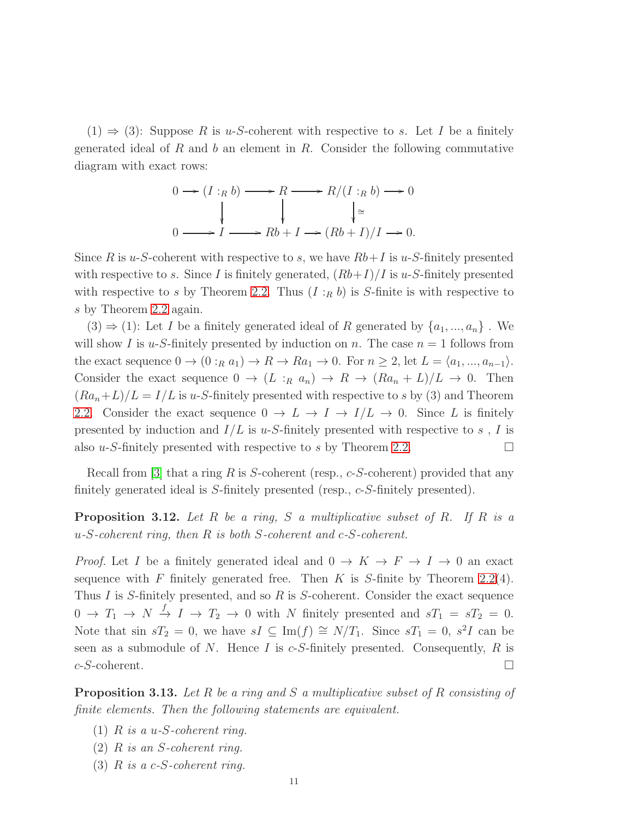$(1) \Rightarrow (3)$ : Suppose R is u-S-coherent with respective to s. Let I be a finitely generated ideal of R and b an element in R. Consider the following commutative diagram with exact rows:

$$
0 \longrightarrow (I :_R b) \longrightarrow R \longrightarrow R/(I :_R b) \longrightarrow 0
$$
  
\n
$$
\downarrow \qquad \qquad \downarrow \cong
$$
  
\n
$$
0 \longrightarrow I \longrightarrow Rb + I \longrightarrow (Rb + I)/I \longrightarrow 0.
$$

Since R is u-S-coherent with respective to s, we have  $Rb+I$  is u-S-finitely presented with respective to s. Since I is finitely generated,  $(Rb+I)/I$  is u-S-finitely presented with respective to s by Theorem [2.2.](#page-2-1) Thus  $(I :_R b)$  is S-finite is with respective to s by Theorem [2.2](#page-2-1) again.

 $(3) \Rightarrow (1)$ : Let I be a finitely generated ideal of R generated by  $\{a_1, ..., a_n\}$ . We will show I is u-S-finitely presented by induction on n. The case  $n = 1$  follows from the exact sequence  $0 \to (0 :_R a_1) \to R \to Ra_1 \to 0$ . For  $n \geq 2$ , let  $L = \langle a_1, ..., a_{n-1} \rangle$ . Consider the exact sequence  $0 \to (L :_R a_n) \to R \to (Ra_n + L)/L \to 0$ . Then  $(Ra_n+L)/L = I/L$  is u-S-finitely presented with respective to s by (3) and Theorem [2.2.](#page-2-1) Consider the exact sequence  $0 \to L \to I \to I/L \to 0$ . Since L is finitely presented by induction and  $I/L$  is u-S-finitely presented with respective to s, I is also u-S-finitely presented with respective to s by Theorem [2.2.](#page-2-1)

Recall from [\[3\]](#page-20-0) that a ring R is S-coherent (resp.,  $c$ -S-coherent) provided that any finitely generated ideal is S-finitely presented (resp., c-S-finitely presented).

<span id="page-10-0"></span>Proposition 3.12. *Let* R *be a ring,* S *a multiplicative subset of* R*. If* R *is a* u*-*S*-coherent ring, then* R *is both* S*-coherent and* c*-*S*-coherent.*

*Proof.* Let I be a finitely generated ideal and  $0 \to K \to F \to I \to 0$  an exact sequence with F finitely generated free. Then K is S-finite by Theorem [2.2\(](#page-2-1)4). Thus  $I$  is  $S$ -finitely presented, and so  $R$  is  $S$ -coherent. Consider the exact sequence  $0 \to T_1 \to N \stackrel{f}{\to} I \to T_2 \to 0$  with N finitely presented and  $sT_1 = sT_2 = 0$ . Note that sin  $sT_2 = 0$ , we have  $sI \subseteq \text{Im}(f) \cong N/T_1$ . Since  $sT_1 = 0$ ,  $s^2I$  can be seen as a submodule of N. Hence I is  $c$ -S-finitely presented. Consequently, R is  $c$ -S-coherent.

Proposition 3.13. *Let* R *be a ring and* S *a multiplicative subset of* R *consisting of finite elements. Then the following statements are equivalent.*

- (1) R *is a* u*-*S*-coherent ring.*
- (2) R *is an* S*-coherent ring.*
- (3) R *is a* c*-*S*-coherent ring.*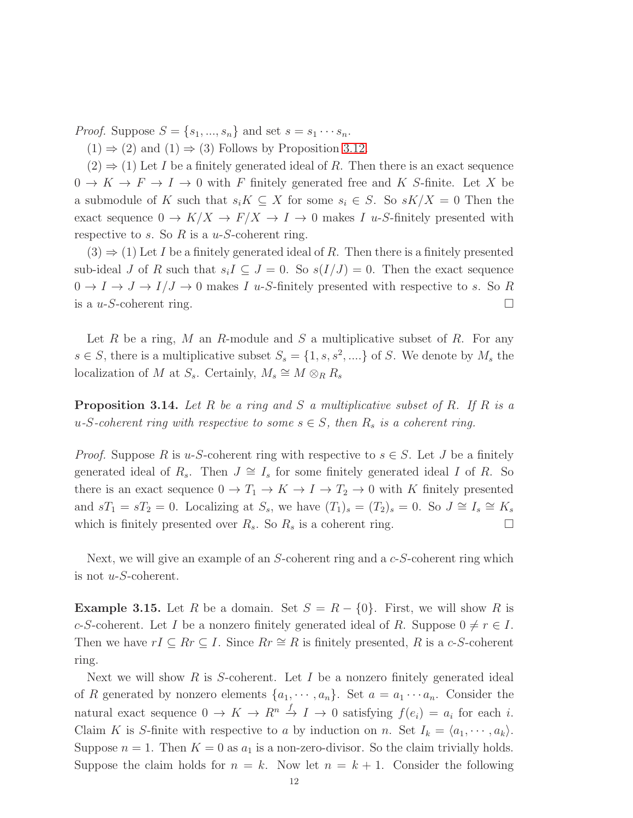*Proof.* Suppose  $S = \{s_1, ..., s_n\}$  and set  $s = s_1 \cdots s_n$ .

 $(1) \Rightarrow (2)$  and  $(1) \Rightarrow (3)$  Follows by Proposition [3.12.](#page-10-0)

 $(2) \Rightarrow (1)$  Let I be a finitely generated ideal of R. Then there is an exact sequence  $0 \to K \to F \to I \to 0$  with F finitely generated free and K S-finite. Let X be a submodule of K such that  $s_iK \subseteq X$  for some  $s_i \in S$ . So  $sK/X = 0$  Then the exact sequence  $0 \to K/X \to F/X \to I \to 0$  makes I u-S-finitely presented with respective to s. So R is a  $u$ -S-coherent ring.

 $(3) \Rightarrow (1)$  Let I be a finitely generated ideal of R. Then there is a finitely presented sub-ideal J of R such that  $s_iI \subseteq J = 0$ . So  $s(I/J) = 0$ . Then the exact sequence  $0 \to I \to J \to I/J \to 0$  makes I u-S-finitely presented with respective to s. So R is a  $u$ -S-coherent ring.

Let R be a ring, M an R-module and S a multiplicative subset of R. For any  $s \in S$ , there is a multiplicative subset  $S_s = \{1, s, s^2, \dots\}$  of S. We denote by  $M_s$  the localization of M at  $S_s$ . Certainly,  $M_s \cong M \otimes_R R_s$ 

<span id="page-11-1"></span>Proposition 3.14. *Let* R *be a ring and* S *a multiplicative subset of* R*. If* R *is a*  $u$ -S-coherent ring with respective to some  $s \in S$ , then  $R_s$  *is a coherent ring.* 

*Proof.* Suppose R is u-S-coherent ring with respective to  $s \in S$ . Let J be a finitely generated ideal of  $R_s$ . Then  $J \cong I_s$  for some finitely generated ideal I of R. So there is an exact sequence  $0 \to T_1 \to K \to I \to T_2 \to 0$  with K finitely presented and  $sT_1 = sT_2 = 0$ . Localizing at  $S_s$ , we have  $(T_1)_s = (T_2)_s = 0$ . So  $J \cong I_s \cong K_s$ which is finitely presented over  $R_s$ . So  $R_s$  is a coherent ring.

Next, we will give an example of an  $S$ -coherent ring and a  $c$ - $S$ -coherent ring which is not u-S-coherent.

<span id="page-11-0"></span>**Example 3.15.** Let R be a domain. Set  $S = R - \{0\}$ . First, we will show R is c-S-coherent. Let I be a nonzero finitely generated ideal of R. Suppose  $0 \neq r \in I$ . Then we have  $rI \subseteq Rr \subseteq I$ . Since  $Rr \cong R$  is finitely presented, R is a c-S-coherent ring.

Next we will show R is S-coherent. Let I be a nonzero finitely generated ideal of R generated by nonzero elements  $\{a_1, \dots, a_n\}$ . Set  $a = a_1 \cdots a_n$ . Consider the natural exact sequence  $0 \to K \to R^n \stackrel{f}{\to} I \to 0$  satisfying  $f(e_i) = a_i$  for each i. Claim K is S-finite with respective to a by induction on n. Set  $I_k = \langle a_1, \dots, a_k \rangle$ . Suppose  $n = 1$ . Then  $K = 0$  as  $a_1$  is a non-zero-divisor. So the claim trivially holds. Suppose the claim holds for  $n = k$ . Now let  $n = k + 1$ . Consider the following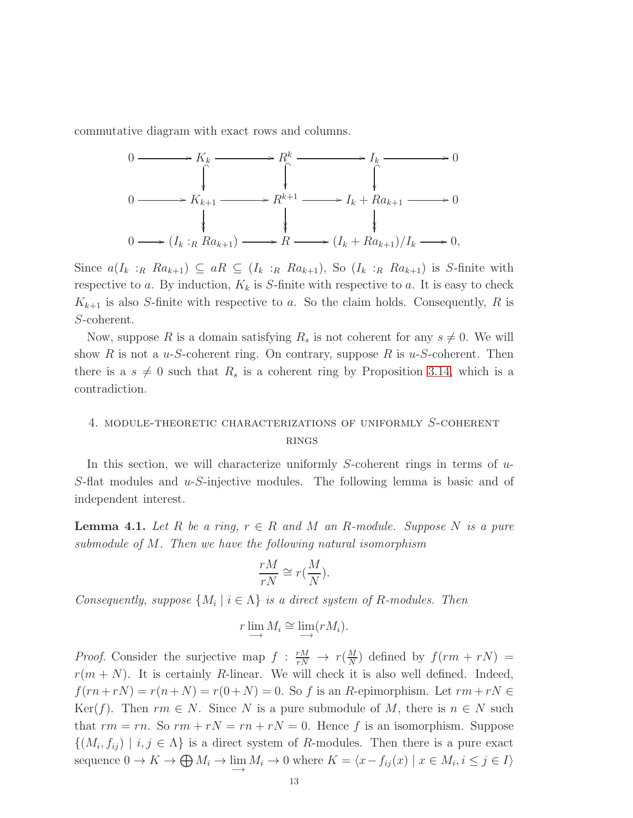commutative diagram with exact rows and columns.

$$
0 \longrightarrow K_k \longrightarrow R^k \longrightarrow I_k \longrightarrow 0
$$
  
\n
$$
0 \longrightarrow K_{k+1} \longrightarrow R^{k+1} \longrightarrow I_k + Ra_{k+1} \longrightarrow 0
$$
  
\n
$$
0 \longrightarrow (I_k :_R Ra_{k+1}) \longrightarrow R \longrightarrow (I_k + Ra_{k+1})/I_k \longrightarrow 0,
$$

Since  $a(I_k :_R Ra_{k+1}) \subseteq aR \subseteq (I_k :_R Ra_{k+1})$ , So  $(I_k :_R Ra_{k+1})$  is S-finite with respective to a. By induction,  $K_k$  is S-finite with respective to a. It is easy to check  $K_{k+1}$  is also S-finite with respective to a. So the claim holds. Consequently, R is S-coherent.

Now, suppose R is a domain satisfying  $R_s$  is not coherent for any  $s \neq 0$ . We will show R is not a u-S-coherent ring. On contrary, suppose R is  $u$ -S-coherent. Then there is a  $s \neq 0$  such that  $R_s$  is a coherent ring by Proposition [3.14,](#page-11-1) which is a contradiction.

# 4. module-theoretic characterizations of uniformly S-coherent **RINGS**

In this section, we will characterize uniformly S-coherent rings in terms of  $u$ -S-flat modules and u-S-injective modules. The following lemma is basic and of independent interest.

<span id="page-12-0"></span>**Lemma 4.1.** Let R be a ring,  $r \in R$  and M an R-module. Suppose N is a pure *submodule of* M*. Then we have the following natural isomorphism*

$$
\frac{rM}{rN} \cong r(\frac{M}{N}).
$$

*Consequently, suppose*  $\{M_i \mid i \in \Lambda\}$  *is a direct system of* R-modules. Then

$$
r \lim_{i \to \infty} M_i \cong \lim_{i \to \infty} (r M_i).
$$

*Proof.* Consider the surjective map  $f : \frac{rM}{rN} \to r(\frac{M}{N})$  $\frac{M}{N}$ ) defined by  $f(rm + rN) =$  $r(m+N)$ . It is certainly R-linear. We will check it is also well defined. Indeed,  $f(rn+rN) = r(n+N) = r(0+N) = 0$ . So f is an R-epimorphism. Let  $rm + rN \in$ Ker(f). Then  $rm \in N$ . Since N is a pure submodule of M, there is  $n \in N$  such that  $rm = rn$ . So  $rm + rN = rn + rN = 0$ . Hence f is an isomorphism. Suppose  $\{(M_i, f_{ij}) \mid i, j \in \Lambda\}$  is a direct system of R-modules. Then there is a pure exact sequence  $0 \to K \to \bigoplus M_i \to \lim_{n \to \infty} M_i \to 0$  where  $K = \langle x - f_{ij}(x) \mid x \in M_i, i \leq j \in I \rangle$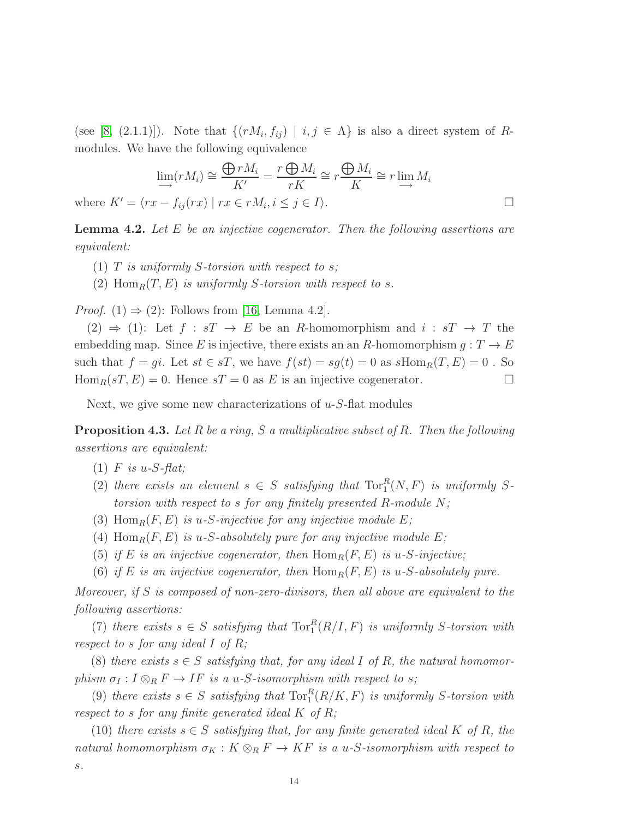(see [\[8,](#page-20-12) (2.1.1)]). Note that  $\{(rM_i, f_{ij}) | i,j \in \Lambda\}$  is also a direct system of Rmodules. We have the following equivalence

$$
\lim_{i \to \infty} (rM_i) \cong \frac{\bigoplus rM_i}{K'} = \frac{r \bigoplus M_i}{rK} \cong r \frac{\bigoplus M_i}{K} \cong r \lim_{i \to \infty} M_i
$$
\n
$$
\text{where } K' = \langle rx - f_{ij}(rx) \mid rx \in rM_i, i \leq j \in I \rangle.
$$

<span id="page-13-0"></span>Lemma 4.2. *Let* E *be an injective cogenerator. Then the following assertions are equivalent:*

- (1) T *is uniformly* S*-torsion with respect to* s*;*
- (2)  $\text{Hom}_R(T, E)$  *is uniformly S-torsion with respect to s.*

*Proof.* (1)  $\Rightarrow$  (2): Follows from [\[16,](#page-20-2) Lemma 4.2].

 $(2) \Rightarrow (1)$ : Let  $f : sT \rightarrow E$  be an R-homomorphism and  $i : sT \rightarrow T$  the embedding map. Since E is injective, there exists an an R-homomorphism  $q: T \to E$ such that  $f = gi$ . Let  $st \in sT$ , we have  $f(st) = sg(t) = 0$  as  $sHom_R(T, E) = 0$ . So  $\text{Hom}_R(sT, E) = 0$ . Hence  $sT = 0$  as E is an injective cogenerator.

Next, we give some new characterizations of  $u$ -S-flat modules

<span id="page-13-1"></span>Proposition 4.3. *Let* R *be a ring,* S *a multiplicative subset of* R*. Then the following assertions are equivalent:*

- (1) F *is* u*-*S*-flat;*
- (2) there exists an element  $s \in S$  satisfying that  $Tor_1^R(N, F)$  is uniformly S*torsion with respect to* s *for any finitely presented* R*-module* N*;*
- (3) Hom<sub>R</sub> $(F, E)$  *is u-S-injective for any injective module* E;
- (4)  $\text{Hom}_R(F, E)$  *is* u-S-absolutely pure for any injective module E;
- (5) *if* E *is an injective cogenerator, then*  $\text{Hom}_R(F, E)$  *is* u-S-injective;
- (6) *if* E *is an injective cogenerator, then*  $Hom_R(F, E)$  *is u-S-absolutely pure.*

*Moreover, if* S *is composed of non-zero-divisors, then all above are equivalent to the following assertions:*

(7) *there exists*  $s \in S$  *satisfying that*  $\text{Tor}_{1}^{R}(R/I, F)$  *is uniformly* S-torsion with *respect to* s *for any ideal* I *of* R*;*

(8) *there exists*  $s \in S$  *satisfying that, for any ideal* I of R, the natural homomor*phism*  $\sigma_I: I \otimes_R F \to IF$  *is a u-S-isomorphism with respect to s;* 

(9) *there exists*  $s \in S$  *satisfying that*  $\text{Tor}_1^R(R/K, F)$  *is uniformly* S-torsion with *respect to* s *for any finite generated ideal* K *of* R*;*

(10) *there exists*  $s \in S$  *satisfying that, for any finite generated ideal* K of R, the *natural homomorphism*  $\sigma_K : K \otimes_R F \to KF$  *is a u-S-isomorphism with respect to* s*.*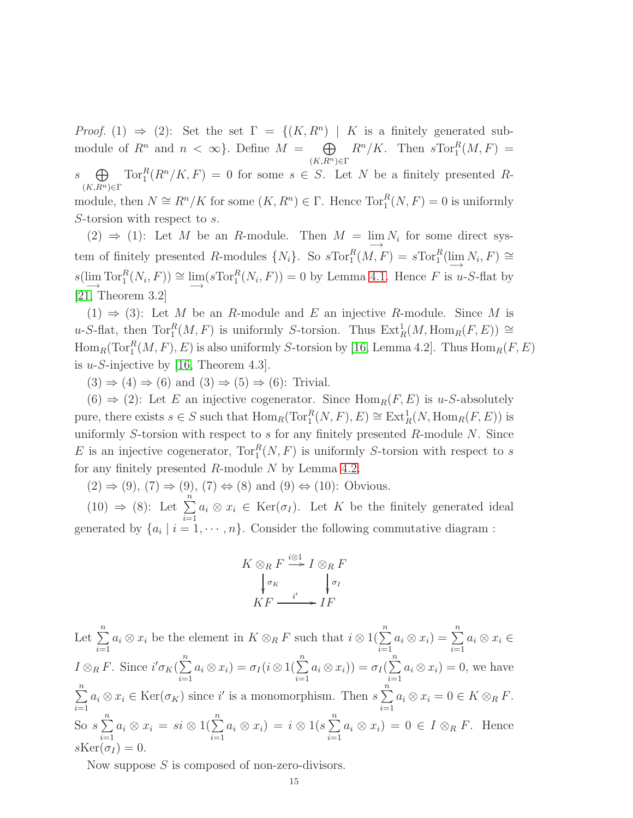*Proof.* (1)  $\Rightarrow$  (2): Set the set  $\Gamma = \{(K, R^n) \mid K \text{ is a finitely generated sub-}$ module of  $R^n$  and  $n < \infty$ . Define  $M = \bigoplus$  $(K, R^n) \in \Gamma$  $R^n/K$ . Then  $sTor_1^R(M,F)$  = s  $\bigoplus$  $(K, R^n) \in \Gamma$  $Tor_1^R(R^n/K, F) = 0$  for some  $s \in S$ . Let N be a finitely presented Rmodule, then  $N \cong R^n/K$  for some  $(K, R^n) \in \Gamma$ . Hence  $\text{Tor}_1^R(N, F) = 0$  is uniformly S-torsion with respect to s.

(2)  $\Rightarrow$  (1): Let *M* be an *R*-module. Then *M* =  $\lim_{\longrightarrow} N_i$  for some direct system of finitely presented R-modules  $\{N_i\}$ . So  $sTor_1^R(M, F) = sTor_1^R(\lim_{\longrightarrow} N_i, F) \cong$  $s(\lim_{n\to\infty} \text{Tor}_1^R(N_i, F)) \cong \lim_{n\to\infty} (s \text{Tor}_1^R(N_i, F)) = 0$  by Lemma [4.1.](#page-12-0) Hence F is u-S-flat by [\[21,](#page-20-8) Theorem 3.2]

(1)  $\Rightarrow$  (3): Let M be an R-module and E an injective R-module. Since M is u-S-flat, then  $\text{Tor}_1^R(M, F)$  is uniformly S-torsion. Thus  $\text{Ext}_R^1(M, \text{Hom}_R(F, E)) \cong$  $\operatorname{Hom}_R(\operatorname{Tor}_1^R(M,F),E)$  is also uniformly S-torsion by [\[16,](#page-20-2) Lemma 4.2]. Thus  $\operatorname{Hom}_R(F,E)$ is  $u$ -S-injective by [\[16,](#page-20-2) Theorem 4.3].

 $(3) \Rightarrow (4) \Rightarrow (6)$  and  $(3) \Rightarrow (5) \Rightarrow (6)$ : Trivial.

 $(6) \Rightarrow (2)$ : Let E an injective cogenerator. Since Hom<sub>R</sub> $(F, E)$  is u-S-absolutely pure, there exists  $s \in S$  such that  $\text{Hom}_R(\text{Tor}_1^R(N, F), E) \cong \text{Ext}_R^1(N, \text{Hom}_R(F, E))$  is uniformly S-torsion with respect to  $s$  for any finitely presented  $R$ -module  $N$ . Since E is an injective cogenerator,  $Tor_1^R(N, F)$  is uniformly S-torsion with respect to s for any finitely presented  $R$ -module  $N$  by Lemma [4.2.](#page-13-0)

 $(2) \Rightarrow (9)$ ,  $(7) \Rightarrow (9)$ ,  $(7) \Leftrightarrow (8)$  and  $(9) \Leftrightarrow (10)$ : Obvious.

 $(10) \Rightarrow (8)$ : Let  $\sum_{n=1}^{\infty}$  $i=1$  $a_i \otimes x_i \in \text{Ker}(\sigma_I)$ . Let K be the finitely generated ideal generated by  $\{a_i \mid i = 1, \dots, n\}$ . Consider the following commutative diagram :

$$
K \otimes_R F \xrightarrow{i \otimes 1} I \otimes_R F
$$
  

$$
\downarrow_{\sigma_K} \qquad \downarrow_{\sigma_I}
$$
  

$$
KF \xrightarrow{i'} IF
$$

Let  $\sum_{n=1}^{\infty}$  $i=1$  $a_i \otimes x_i$  be the element in  $K \otimes_R F$  such that  $i \otimes 1(\sum^n$  $i=1$  $a_i \otimes x_i$ ) =  $\sum^n$  $i=1$  $a_i \otimes x_i \in$  $I \otimes_R F$ . Since  $i'\sigma_K(\sum^n)$  $i=1$  $a_i \otimes x_i) = \sigma_I (i \otimes 1(\sum^n$  $i=1$  $a_i \otimes x_i) = \sigma_I(\sum^n$  $i=1$  $a_i \otimes x_i$ ) = 0, we have  $\sum_{n=1}^{\infty}$  $i=1$  $a_i \otimes x_i \in \text{Ker}(\sigma_K)$  since i' is a monomorphism. Then  $s \sum_{i=1}^{n}$  $i=1$  $a_i \otimes x_i = 0 \in K \otimes_R F$ . So  $s\sum_{n=1}^{\infty}$  $i=1$  $a_i \otimes x_i = si \otimes 1(\sum^n$  $i=1$  $a_i \otimes x_i$ ) =  $i \otimes 1$ (s  $\sum^n$  $i=1$  $a_i \otimes x_i$ ) = 0 ∈ I  $\otimes_R F$ . Hence  $s\text{Ker}(\sigma_I) = 0.$ 

Now suppose S is composed of non-zero-divisors.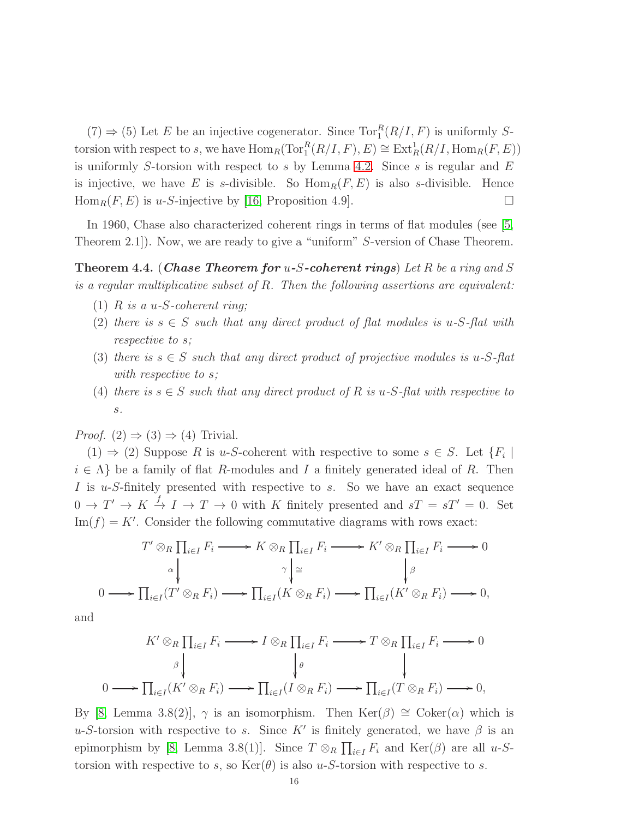$(7) \Rightarrow (5)$  Let E be an injective cogenerator. Since  $Tor_1^R(R/I, F)$  is uniformly Storsion with respect to s, we have  $\text{Hom}_R(\text{Tor}_1^R(R/I, F), E) \cong \text{Ext}_R^1(R/I, \text{Hom}_R(F, E))$ is uniformly S-torsion with respect to s by Lemma [4.2.](#page-13-0) Since s is regular and  $E$ is injective, we have E is s-divisible. So  $\text{Hom}_R(F, E)$  is also s-divisible. Hence  $\text{Hom}_R(F, E)$  is u-S-injective by [\[16,](#page-20-2) Proposition 4.9].

In 1960, Chase also characterized coherent rings in terms of flat modules (see [\[5,](#page-20-4) Theorem 2.1]). Now, we are ready to give a "uniform" S-version of Chase Theorem.

<span id="page-15-0"></span>Theorem 4.4. (Chase Theorem for u-S-coherent rings) *Let* R *be a ring and* S *is a regular multiplicative subset of* R*. Then the following assertions are equivalent:*

- (1) R *is a* u*-*S*-coherent ring;*
- (2) there is  $s \in S$  such that any direct product of flat modules is u-S-flat with *respective to* s*;*
- (3) *there is*  $s \in S$  *such that any direct product of projective modules is*  $u$ -S-flat *with respective to* s*;*
- (4) *there is*  $s \in S$  *such that any direct product of*  $R$  *is*  $u$ - $S$ -flat with respective to s*.*

*Proof.*  $(2) \Rightarrow (3) \Rightarrow (4)$  Trivial.

 $(1) \Rightarrow (2)$  Suppose R is u-S-coherent with respective to some  $s \in S$ . Let  $\{F_i \mid$  $i \in \Lambda$  be a family of flat R-modules and I a finitely generated ideal of R. Then I is u-S-finitely presented with respective to s. So we have an exact sequence  $0 \to T' \to K \stackrel{f}{\to} I \to T \to 0$  with K finitely presented and  $sT = sT' = 0$ . Set  $\text{Im}(f) = K'$ . Consider the following commutative diagrams with rows exact:

$$
T' \otimes_R \prod_{i \in I} F_i \longrightarrow K \otimes_R \prod_{i \in I} F_i \longrightarrow K' \otimes_R \prod_{i \in I} F_i \longrightarrow 0
$$
  
\n
$$
\wedge \qquad \qquad \downarrow \qquad \qquad \downarrow
$$
  
\n
$$
0 \longrightarrow \prod_{i \in I} (T' \otimes_R F_i) \longrightarrow \prod_{i \in I} (K \otimes_R F_i) \longrightarrow \prod_{i \in I} (K' \otimes_R F_i) \longrightarrow 0,
$$

and

$$
K' \otimes_R \prod_{i \in I} F_i \longrightarrow I \otimes_R \prod_{i \in I} F_i \longrightarrow T \otimes_R \prod_{i \in I} F_i \longrightarrow 0
$$
  
\n
$$
\downarrow \qquad \qquad \downarrow \qquad \qquad \downarrow
$$
  
\n
$$
0 \longrightarrow \prod_{i \in I} (K' \otimes_R F_i) \longrightarrow \prod_{i \in I} (I \otimes_R F_i) \longrightarrow \prod_{i \in I} (T \otimes_R F_i) \longrightarrow 0,
$$

By [\[8,](#page-20-12) Lemma 3.8(2)],  $\gamma$  is an isomorphism. Then Ker( $\beta$ ) ≅ Coker( $\alpha$ ) which is u-S-torsion with respective to s. Since K' is finitely generated, we have  $\beta$  is an epimorphism by [\[8,](#page-20-12) Lemma 3.8(1)]. Since  $T \otimes_R \prod_{i \in I} F_i$  and  $\text{Ker}(\beta)$  are all u-Storsion with respective to s, so  $\text{Ker}(\theta)$  is also u-S-torsion with respective to s.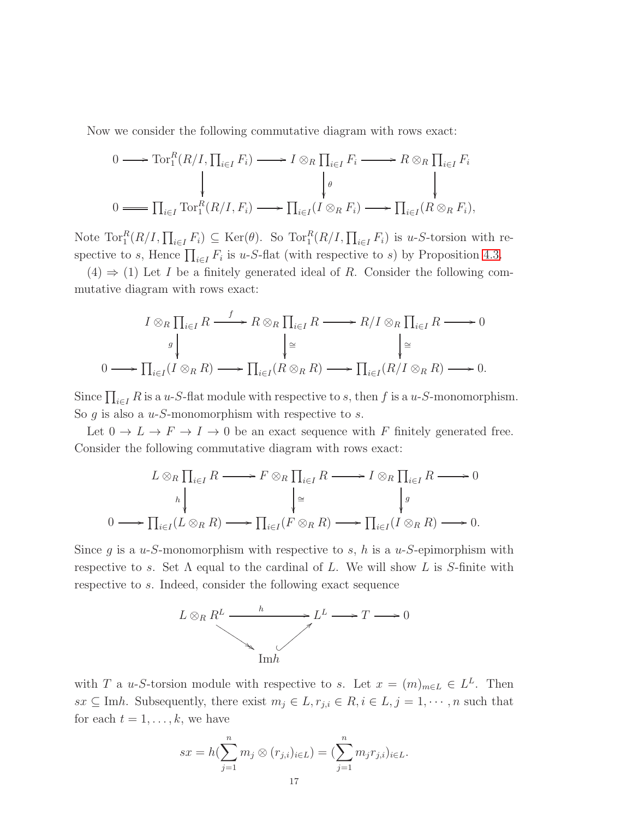Now we consider the following commutative diagram with rows exact:

$$
0 \longrightarrow \operatorname{Tor}_1^R(R/I, \prod_{i \in I} F_i) \longrightarrow I \otimes_R \prod_{i \in I} F_i \longrightarrow R \otimes_R \prod_{i \in I} F_i
$$
  
\n
$$
\downarrow \qquad \qquad \downarrow \qquad \qquad \downarrow
$$
  
\n
$$
0 \longrightarrow \prod_{i \in I} \operatorname{Tor}_1^R(R/I, F_i) \longrightarrow \prod_{i \in I} (I \otimes_R F_i) \longrightarrow \prod_{i \in I} (R \otimes_R F_i),
$$

Note  $\text{Tor}_1^R(R/I, \prod_{i\in I} F_i) \subseteq \text{Ker}(\theta)$ . So  $\text{Tor}_1^R(R/I, \prod_{i\in I} F_i)$  is u-S-torsion with respective to s, Hence  $\prod_{i\in I} F_i$  is u-S-flat (with respective to s) by Proposition [4.3.](#page-13-1)

 $(4) \Rightarrow (1)$  Let I be a finitely generated ideal of R. Consider the following commutative diagram with rows exact:

$$
I \otimes_R \prod_{i \in I} R \xrightarrow{f} R \otimes_R \prod_{i \in I} R \longrightarrow R/I \otimes_R \prod_{i \in I} R \longrightarrow 0
$$
  

$$
\downarrow \cong \qquad \qquad \downarrow \cong
$$
  

$$
0 \longrightarrow \prod_{i \in I} (I \otimes_R R) \longrightarrow \prod_{i \in I} (R \otimes_R R) \longrightarrow \prod_{i \in I} (R/I \otimes_R R) \longrightarrow 0.
$$

Since  $\prod_{i\in I} R$  is a u-S-flat module with respective to s, then f is a u-S-monomorphism. So  $g$  is also a  $u$ -S-monomorphism with respective to  $s$ .

Let  $0 \to L \to F \to I \to 0$  be an exact sequence with F finitely generated free. Consider the following commutative diagram with rows exact:

$$
L \otimes_R \prod_{i \in I} R \longrightarrow F \otimes_R \prod_{i \in I} R \longrightarrow I \otimes_R \prod_{i \in I} R \longrightarrow 0
$$
  
\n
$$
\downarrow^{h} \qquad \qquad \downarrow^{g} \qquad \qquad \downarrow^{g}
$$
  
\n
$$
0 \longrightarrow \prod_{i \in I} (L \otimes_R R) \longrightarrow \prod_{i \in I} (F \otimes_R R) \longrightarrow \prod_{i \in I} (I \otimes_R R) \longrightarrow 0.
$$

Since g is a u-S-monomorphism with respective to s, h is a u-S-epimorphism with respective to s. Set  $\Lambda$  equal to the cardinal of L. We will show L is S-finite with respective to s. Indeed, consider the following exact sequence



with T a u-S-torsion module with respective to s. Let  $x = (m)_{m \in L} \in L^L$ . Then  $sx \subseteq \text{Im}h$ . Subsequently, there exist  $m_j \in L, r_{j,i} \in R, i \in L, j = 1, \dots, n$  such that for each  $t = 1, \ldots, k$ , we have

$$
sx = h(\sum_{j=1}^{n} m_j \otimes (r_{j,i})_{i \in L}) = (\sum_{j=1}^{n} m_j r_{j,i})_{i \in L}.
$$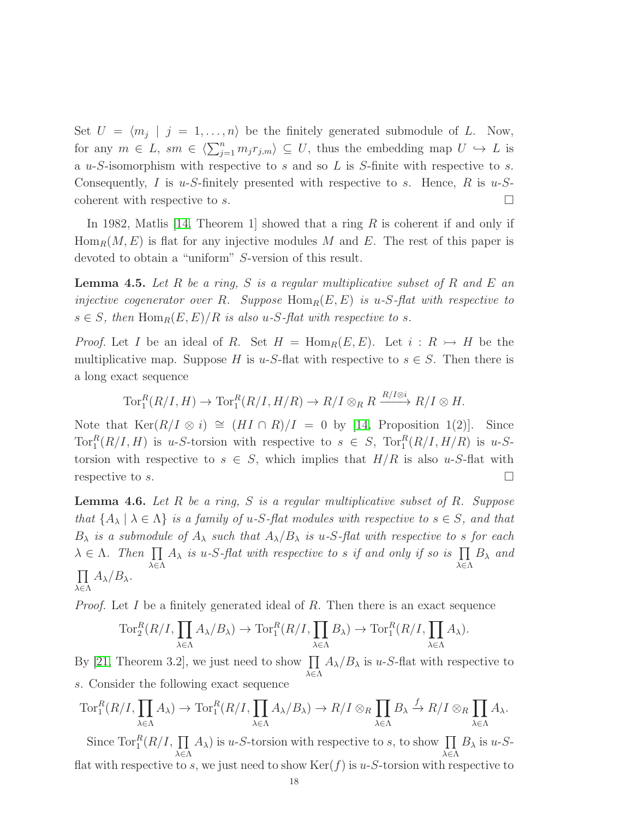Set  $U = \langle m_j | j = 1, \ldots, n \rangle$  be the finitely generated submodule of L. Now, for any  $m \in L$ ,  $sm \in \langle \sum_{j=1}^n m_j r_{j,m} \rangle \subseteq U$ , thus the embedding map  $U \hookrightarrow L$  is a  $u-S$ -isomorphism with respective to s and so L is S-finite with respective to s. Consequently, I is u-S-finitely presented with respective to s. Hence, R is u-Scoherent with respective to s.

In 1982, Matlis  $[14,$  Theorem 1 showed that a ring R is coherent if and only if  $Hom_R(M, E)$  is flat for any injective modules M and E. The rest of this paper is devoted to obtain a "uniform" S-version of this result.

<span id="page-17-0"></span>Lemma 4.5. *Let* R *be a ring,* S *is a regular multiplicative subset of* R *and* E *an injective cogenerator over* R. Suppose  $Hom_R(E, E)$  *is* u-S-flat with respective to  $s \in S$ , then  $\text{Hom}_R(E, E)/R$  *is also u-S-flat with respective to s.* 

*Proof.* Let I be an ideal of R. Set  $H = \text{Hom}_R(E, E)$ . Let  $i: R \rightarrow H$  be the multiplicative map. Suppose H is u-S-flat with respective to  $s \in S$ . Then there is a long exact sequence

$$
\operatorname{Tor}^R_1(R/I, H) \to \operatorname{Tor}^R_1(R/I, H/R) \to R/I \otimes_R R \xrightarrow{R/I \otimes i} R/I \otimes H.
$$

Note that  $\text{Ker}(R/I \otimes i) \cong (HI \cap R)/I = 0$  by [\[14,](#page-20-6) Proposition 1(2)]. Since Tor<sup>R</sup> $(R/I, H)$  is u-S-torsion with respective to  $s \in S$ , Tor<sup>R</sup> $(R/I, H/R)$  is u-Storsion with respective to  $s \in S$ , which implies that  $H/R$  is also u-S-flat with respective to s.

<span id="page-17-1"></span>Lemma 4.6. *Let* R *be a ring,* S *is a regular multiplicative subset of* R*. Suppose that*  $\{A_{\lambda} | \lambda \in \Lambda\}$  *is a family of u-S-flat modules with respective to*  $s \in S$ *, and that*  $B_{\lambda}$  *is a submodule of*  $A_{\lambda}$  *such that*  $A_{\lambda}/B_{\lambda}$  *is u-S-flat with respective to s for each*  $\lambda \in \Lambda$ . Then  $\prod A_{\lambda}$  is u-S-flat with respective to s if and only if so is  $\prod$ λ∈Λ λ∈Λ B<sup>λ</sup> *and*  $\prod A_{\lambda}/B_{\lambda}$ . λ∈Λ

*Proof.* Let I be a finitely generated ideal of R. Then there is an exact sequence

$$
\operatorname{Tor}_2^R(R/I, \prod_{\lambda \in \Lambda} A_{\lambda}/B_{\lambda}) \to \operatorname{Tor}_1^R(R/I, \prod_{\lambda \in \Lambda} B_{\lambda}) \to \operatorname{Tor}_1^R(R/I, \prod_{\lambda \in \Lambda} A_{\lambda}).
$$

By [\[21,](#page-20-8) Theorem 3.2], we just need to show  $\prod$ λ∈Λ  $A_{\lambda}/B_{\lambda}$  is u-S-flat with respective to s. Consider the following exact sequence

$$
\operatorname{Tor}_1^R(R/I, \prod_{\lambda \in \Lambda} A_{\lambda}) \to \operatorname{Tor}_1^R(R/I, \prod_{\lambda \in \Lambda} A_{\lambda}/B_{\lambda}) \to R/I \otimes_R \prod_{\lambda \in \Lambda} B_{\lambda} \xrightarrow{f} R/I \otimes_R \prod_{\lambda \in \Lambda} A_{\lambda}.
$$

Since  $\text{Tor}_1^R(R/I, \prod$ λ∈Λ  $(A_{\lambda})$  is u-S-torsion with respective to s, to show  $\prod$ λ∈Λ  $B_\lambda$  is u-Sflat with respective to s, we just need to show  $\text{Ker}(f)$  is u-S-torsion with respective to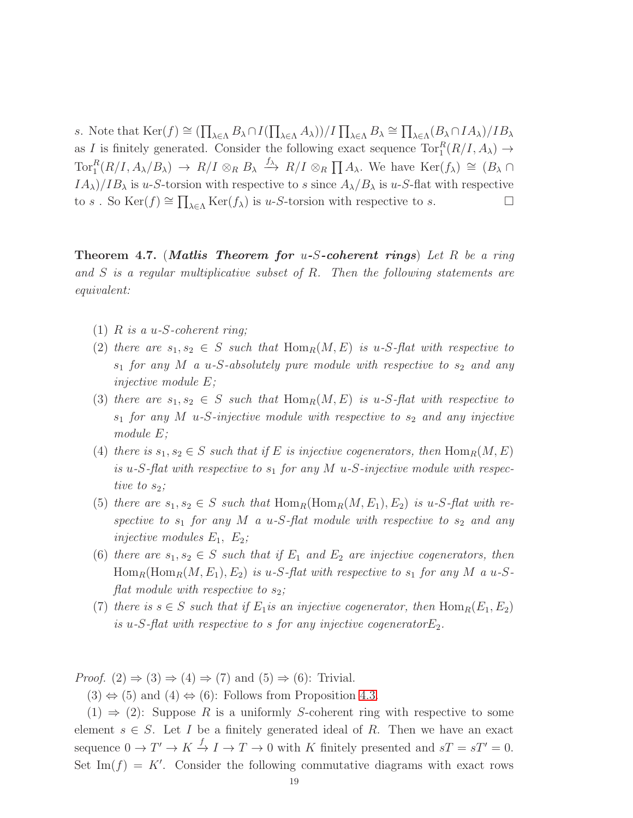s. Note that  $\text{Ker}(f) \cong (\prod_{\lambda \in \Lambda} B_{\lambda} \cap I(\prod_{\lambda \in \Lambda} A_{\lambda}))/I \prod_{\lambda \in \Lambda} B_{\lambda} \cong \prod_{\lambda \in \Lambda} (B_{\lambda} \cap IA_{\lambda})/IB_{\lambda}$ as I is finitely generated. Consider the following exact sequence  $\text{Tor}_{1}^{R}(R/I, A_{\lambda}) \rightarrow$  $\text{Tor}_{1}^{R}(R/I, A_{\lambda}/B_{\lambda}) \rightarrow R/I \otimes_{R} B_{\lambda} \stackrel{f_{\lambda}}{\longrightarrow} R/I \otimes_{R} \prod A_{\lambda}$ . We have  $\text{Ker}(f_{\lambda}) \cong (B_{\lambda} \cap$  $IA_{\lambda}/IB_{\lambda}$  is u-S-torsion with respective to s since  $A_{\lambda}/B_{\lambda}$  is u-S-flat with respective to s. So  $\text{Ker}(f) \cong \prod_{\lambda \in \Lambda} \text{Ker}(f_{\lambda})$  is u-S-torsion with respective to s.

<span id="page-18-0"></span>Theorem 4.7. (Matlis Theorem for u-S-coherent rings) *Let* R *be a ring and* S *is a regular multiplicative subset of* R*. Then the following statements are equivalent:*

- (1) R *is a* u*-*S*-coherent ring;*
- (2) *there are*  $s_1, s_2 \in S$  *such that*  $\text{Hom}_R(M, E)$  *is* u-S-flat with respective to  $s_1$  *for any M a u-S-absolutely pure module with respective to*  $s_2$  *and any injective module* E*;*
- (3) *there are*  $s_1, s_2 \in S$  *such that*  $\text{Hom}_R(M, E)$  *is* u-S-flat with respective to  $s_1$  *for any M u-S-injective module with respective to*  $s_2$  *and any injective module* E*;*
- (4) *there is*  $s_1, s_2 \in S$  *such that if* E *is injective cogenerators, then*  $\text{Hom}_R(M, E)$ is u-S-flat with respective to  $s_1$  for any M u-S-injective module with respec*tive to*  $s_2$ *;*
- (5) *there are*  $s_1, s_2 \in S$  *such that*  $\text{Hom}_R(\text{Hom}_R(M, E_1), E_2)$  *is*  $u$ -*S*-*flat with re*spective to  $s_1$  for any M a u-S-flat module with respective to  $s_2$  and any *injective modules*  $E_1, E_2$ *;*
- (6) *there are*  $s_1, s_2 \in S$  *such that if*  $E_1$  *and*  $E_2$  *are injective cogenerators, then*  $\text{Hom}_R(\text{Hom}_R(M, E_1), E_2)$  *is* u-*S*-flat with respective to  $s_1$  for any M a u-S*flat module with respective to*  $s_2$ ;
- (7) *there is*  $s \in S$  *such that if*  $E_1$ *is an injective cogenerator, then*  $\text{Hom}_R(E_1, E_2)$ *is* u-S-flat with respective to s for any injective cogenerator $E_2$ .

*Proof.*  $(2) \Rightarrow (3) \Rightarrow (4) \Rightarrow (7)$  and  $(5) \Rightarrow (6)$ : Trivial.

 $(3) \Leftrightarrow (5)$  and  $(4) \Leftrightarrow (6)$ : Follows from Proposition [4.3.](#page-13-1)

 $(1) \Rightarrow (2)$ : Suppose R is a uniformly S-coherent ring with respective to some element  $s \in S$ . Let I be a finitely generated ideal of R. Then we have an exact sequence  $0 \to T' \to K \to I \to T \to 0$  with K finitely presented and  $sT = sT' = 0$ . Set Im( $f$ ) = K'. Consider the following commutative diagrams with exact rows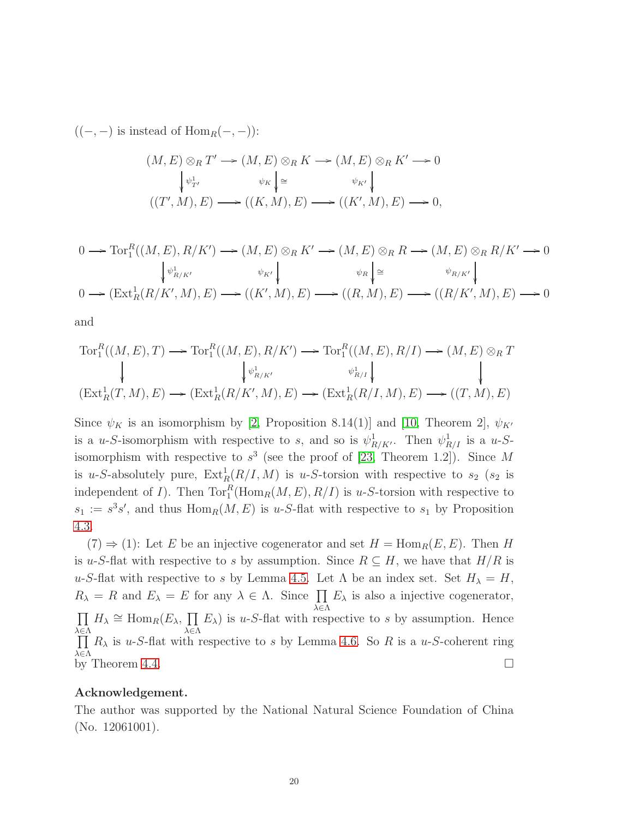$((-,-)$  is instead of  $Hom_R(-,-)$ :

$$
(M, E) \otimes_R T' \longrightarrow (M, E) \otimes_R K \longrightarrow (M, E) \otimes_R K' \longrightarrow 0
$$
  

$$
\begin{array}{c} \downarrow \psi_{T'} \downarrow^{\psi_K} \downarrow^{\cong} \downarrow^{\psi_K} \downarrow^{\psi_K} \downarrow^{\psi_K} \downarrow^{\psi_K} \downarrow^{\psi_K} \downarrow^{\psi_K} \downarrow^{\psi_K} \downarrow^{\psi_K} \downarrow^{\psi_K} \downarrow^{\psi_K} \downarrow^{\psi_K} \downarrow^{\psi_K} \downarrow^{\psi_K} \downarrow^{\psi_K} \downarrow^{\psi_K} \downarrow^{\psi_K} \downarrow^{\psi_K} \downarrow^{\psi_K} \downarrow^{\psi_K} \downarrow^{\psi_K} \downarrow^{\psi_K} \downarrow^{\psi_K} \downarrow^{\psi_K} \downarrow^{\psi_K} \downarrow^{\psi_K} \downarrow^{\psi_K} \downarrow^{\psi_K} \downarrow^{\psi_K} \downarrow^{\psi_K} \downarrow^{\psi_K} \downarrow^{\psi_K} \downarrow^{\psi_K} \downarrow^{\psi_K} \downarrow^{\psi_K} \downarrow^{\psi_K} \downarrow^{\psi_K} \downarrow^{\psi_K} \downarrow^{\psi_K} \downarrow^{\psi_K} \downarrow^{\psi_K} \downarrow^{\psi_K} \downarrow^{\psi_K} \downarrow^{\psi_K} \downarrow^{\psi_K} \downarrow^{\psi_K} \downarrow^{\psi_K} \downarrow^{\psi_K} \downarrow^{\psi_K} \downarrow^{\psi_K} \downarrow^{\psi_K} \downarrow^{\psi_K} \downarrow^{\psi_K} \downarrow^{\psi_K} \downarrow^{\psi_K} \downarrow^{\psi_K} \downarrow^{\psi_K} \downarrow^{\psi_K} \downarrow^{\psi_K} \downarrow^{\psi_K} \downarrow^{\psi_K} \downarrow^{\psi_K} \downarrow^{\psi_K} \downarrow^{\psi_K} \downarrow^{\psi_K} \downarrow^{\psi_K} \downarrow^{\psi_K} \downarrow^{\psi_K} \downarrow^{\psi_K} \downarrow^{\psi_K} \downarrow^{\psi_K} \downarrow^{\psi_K} \downarrow^{\psi_K} \downarrow^{\psi_K} \downarrow^{\psi_K} \downarrow^{\psi_K} \downarrow^{\psi_K} \downarrow^{\psi_K} \downarrow^{\psi_K} \downarrow^{\psi_K} \downarrow^{\psi_K} \downarrow^{\psi_K} \downarrow^{\psi_K} \downarrow^{\psi_K} \downarrow^{\psi_K} \downarrow^{\psi_K}
$$

$$
0 \longrightarrow \text{Tor}_{1}^{R}((M,E), R/K') \longrightarrow (M,E) \otimes_{R} K' \longrightarrow (M,E) \otimes_{R} R \longrightarrow (M,E) \otimes_{R} R/K' \longrightarrow 0
$$
  
\n
$$
\begin{array}{ccc}\n\downarrow_{\psi_{R/K'}} & \downarrow_{K'} \\
0 \longrightarrow (\text{Ext}_{R}^{1}(R/K', M), E) \longrightarrow ((K', M), E) \longrightarrow ((R, M), E) \longrightarrow ((R/K', M), E) \longrightarrow 0\n\end{array}
$$

and

$$
\operatorname{Tor}_{1}^{R}((M,E),T) \longrightarrow \operatorname{Tor}_{1}^{R}((M,E),R/K') \longrightarrow \operatorname{Tor}_{1}^{R}((M,E),R/I) \longrightarrow (M,E) \otimes_{R} T
$$
\n
$$
\downarrow \qquad \qquad \downarrow \qquad \qquad \downarrow \qquad \qquad \downarrow \qquad \qquad \downarrow
$$
\n
$$
(\operatorname{Ext}_{R}^{1}(T,M),E) \longrightarrow (\operatorname{Ext}_{R}^{1}(R/K',M),E) \longrightarrow (\operatorname{Ext}_{R}^{1}(R/I,M),E) \longrightarrow ((T,M),E)
$$

Since  $\psi_K$  is an isomorphism by [\[2,](#page-20-13) Proposition 8.14(1)] and [\[10,](#page-20-14) Theorem 2],  $\psi_{K'}$ is a u-S-isomorphism with respective to s, and so is  $\psi_{R/K}^1$ . Then  $\psi_{R/I}^1$  is a u-Sisomorphism with respective to  $s^3$  (see the proof of [\[23,](#page-20-15) Theorem 1.2]). Since M is u-S-absolutely pure,  $\text{Ext}^1_R(R/I, M)$  is u-S-torsion with respective to  $s_2$  ( $s_2$  is independent of *I*). Then  $\text{Tor}_{1}^{R}(\text{Hom}_{R}(M, E), R/I)$  is *u-S*-torsion with respective to  $s_1 := s^3 s'$ , and thus  $\text{Hom}_R(M, E)$  is u-S-flat with respective to  $s_1$  by Proposition [4.3.](#page-13-1)

 $(7) \Rightarrow (1)$ : Let E be an injective cogenerator and set  $H = \text{Hom}_R(E, E)$ . Then H is u-S-flat with respective to s by assumption. Since  $R \subseteq H$ , we have that  $H/R$  is u-S-flat with respective to s by Lemma [4.5.](#page-17-0) Let  $\Lambda$  be an index set. Set  $H_{\lambda} = H$ ,  $R_{\lambda} = R$  and  $E_{\lambda} = E$  for any  $\lambda \in \Lambda$ . Since  $\prod E_{\lambda}$  is also a injective cogenerator, λ∈Λ  $\prod$ λ∈Λ  $H_{\lambda} \cong \text{Hom}_{R}(E_{\lambda}, \prod$ λ∈Λ  $E_{\lambda}$ ) is u-S-flat with respective to s by assumption. Hence  $\prod$ λ∈Λ  $R_{\lambda}$  is u-S-flat with respective to s by Lemma [4.6.](#page-17-1) So R is a u-S-coherent ring by Theorem [4.4.](#page-15-0)  $\Box$ 

## Acknowledgement.

The author was supported by the National Natural Science Foundation of China (No. 12061001).